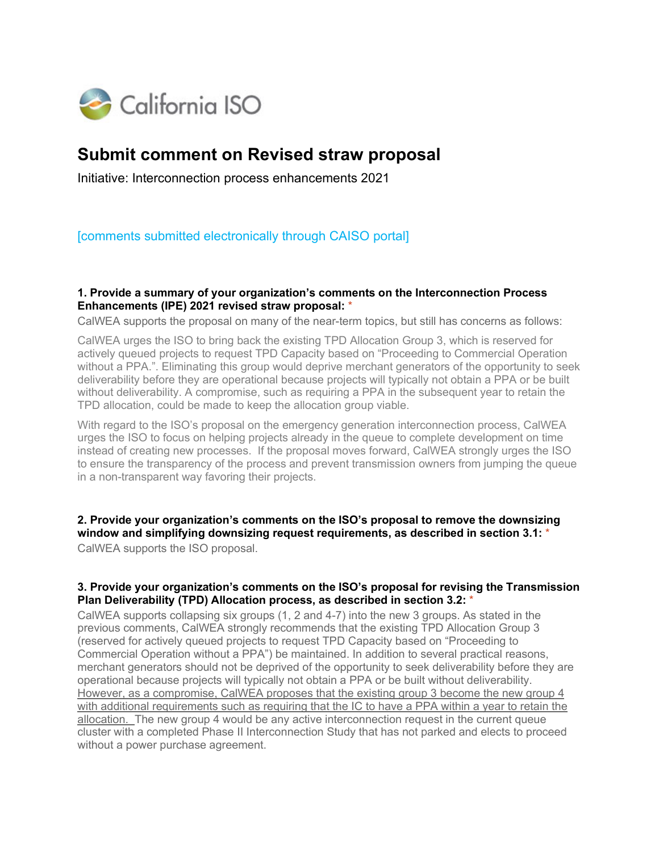

# **Submit comment on Revised straw proposal**

Initiative: Interconnection process enhancements 2021

[comments submitted electronically through CAISO portal]

## **1. Provide a summary of your organization's comments on the Interconnection Process Enhancements (IPE) 2021 revised straw proposal:** \*

CalWEA supports the proposal on many of the near-term topics, but still has concerns as follows:

CalWEA urges the ISO to bring back the existing TPD Allocation Group 3, which is reserved for actively queued projects to request TPD Capacity based on "Proceeding to Commercial Operation without a PPA.". Eliminating this group would deprive merchant generators of the opportunity to seek deliverability before they are operational because projects will typically not obtain a PPA or be built without deliverability. A compromise, such as requiring a PPA in the subsequent year to retain the TPD allocation, could be made to keep the allocation group viable.

With regard to the ISO's proposal on the emergency generation interconnection process, CalWEA urges the ISO to focus on helping projects already in the queue to complete development on time instead of creating new processes. If the proposal moves forward, CalWEA strongly urges the ISO to ensure the transparency of the process and prevent transmission owners from jumping the queue in a non-transparent way favoring their projects.

**2. Provide your organization's comments on the ISO's proposal to remove the downsizing window and simplifying downsizing request requirements, as described in section 3.1:** \*

CalWEA supports the ISO proposal.

#### **3. Provide your organization's comments on the ISO's proposal for revising the Transmission Plan Deliverability (TPD) Allocation process, as described in section 3.2:** \*

CalWEA supports collapsing six groups (1, 2 and 4-7) into the new 3 groups. As stated in the previous comments, CalWEA strongly recommends that the existing TPD Allocation Group 3 (reserved for actively queued projects to request TPD Capacity based on "Proceeding to Commercial Operation without a PPA") be maintained. In addition to several practical reasons, merchant generators should not be deprived of the opportunity to seek deliverability before they are operational because projects will typically not obtain a PPA or be built without deliverability. However, as a compromise, CalWEA proposes that the existing group 3 become the new group 4 with additional requirements such as requiring that the IC to have a PPA within a year to retain the allocation. The new group 4 would be any active interconnection request in the current queue cluster with a completed Phase II Interconnection Study that has not parked and elects to proceed without a power purchase agreement.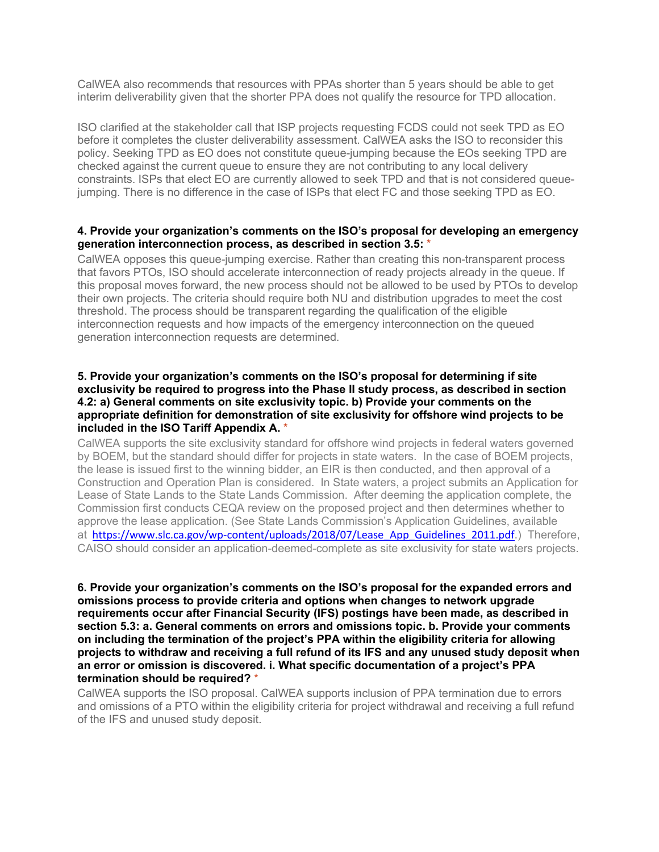CalWEA also recommends that resources with PPAs shorter than 5 years should be able to get interim deliverability given that the shorter PPA does not qualify the resource for TPD allocation.

ISO clarified at the stakeholder call that ISP projects requesting FCDS could not seek TPD as EO before it completes the cluster deliverability assessment. CalWEA asks the ISO to reconsider this policy. Seeking TPD as EO does not constitute queue-jumping because the EOs seeking TPD are checked against the current queue to ensure they are not contributing to any local delivery constraints. ISPs that elect EO are currently allowed to seek TPD and that is not considered queuejumping. There is no difference in the case of ISPs that elect FC and those seeking TPD as EO.

## **4. Provide your organization's comments on the ISO's proposal for developing an emergency generation interconnection process, as described in section 3.5:** \*

CalWEA opposes this queue-jumping exercise. Rather than creating this non-transparent process that favors PTOs, ISO should accelerate interconnection of ready projects already in the queue. If this proposal moves forward, the new process should not be allowed to be used by PTOs to develop their own projects. The criteria should require both NU and distribution upgrades to meet the cost threshold. The process should be transparent regarding the qualification of the eligible interconnection requests and how impacts of the emergency interconnection on the queued generation interconnection requests are determined.

## **5. Provide your organization's comments on the ISO's proposal for determining if site exclusivity be required to progress into the Phase II study process, as described in section 4.2: a) General comments on site exclusivity topic. b) Provide your comments on the appropriate definition for demonstration of site exclusivity for offshore wind projects to be included in the ISO Tariff Appendix A.** \*

CalWEA supports the site exclusivity standard for offshore wind projects in federal waters governed by BOEM, but the standard should differ for projects in state waters. In the case of BOEM projects, the lease is issued first to the winning bidder, an EIR is then conducted, and then approval of a Construction and Operation Plan is considered. In State waters, a project submits an Application for Lease of State Lands to the State Lands Commission. After deeming the application complete, the Commission first conducts CEQA review on the proposed project and then determines whether to approve the lease application. (See State Lands Commission's Application Guidelines, available at [https://www.slc.ca.gov/wp-content/uploads/2018/07/Lease\\_App\\_Guidelines\\_2011.pdf](https://www.slc.ca.gov/wp-content/uploads/2018/07/Lease_App_Guidelines_2011.pdf).) Therefore, CAISO should consider an application-deemed-complete as site exclusivity for state waters projects.

**6. Provide your organization's comments on the ISO's proposal for the expanded errors and omissions process to provide criteria and options when changes to network upgrade requirements occur after Financial Security (IFS) postings have been made, as described in section 5.3: a. General comments on errors and omissions topic. b. Provide your comments on including the termination of the project's PPA within the eligibility criteria for allowing projects to withdraw and receiving a full refund of its IFS and any unused study deposit when an error or omission is discovered. i. What specific documentation of a project's PPA termination should be required?** \*

CalWEA supports the ISO proposal. CalWEA supports inclusion of PPA termination due to errors and omissions of a PTO within the eligibility criteria for project withdrawal and receiving a full refund of the IFS and unused study deposit.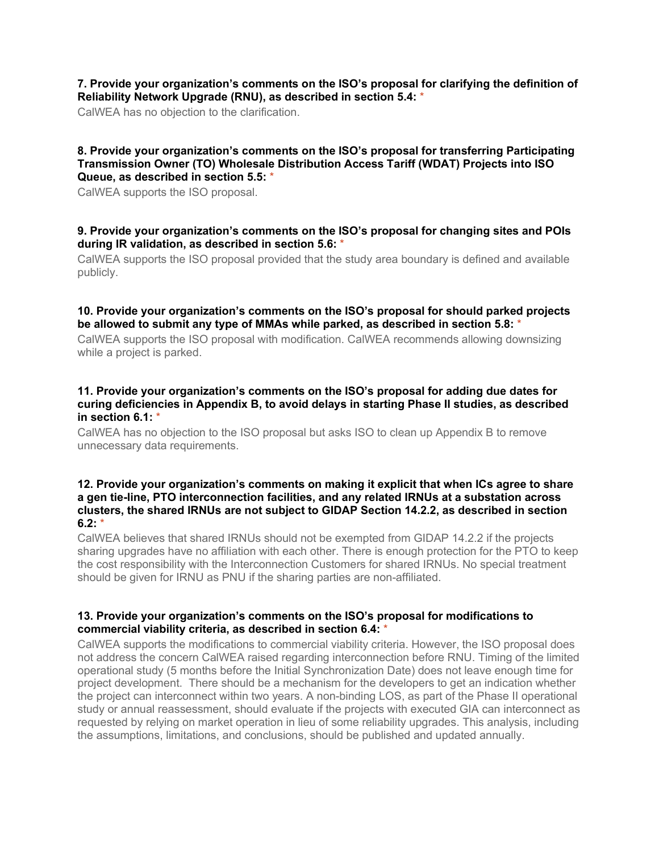## **7. Provide your organization's comments on the ISO's proposal for clarifying the definition of Reliability Network Upgrade (RNU), as described in section 5.4:** \*

CalWEA has no objection to the clarification.

#### **8. Provide your organization's comments on the ISO's proposal for transferring Participating Transmission Owner (TO) Wholesale Distribution Access Tariff (WDAT) Projects into ISO Queue, as described in section 5.5:** \*

CalWEA supports the ISO proposal.

## **9. Provide your organization's comments on the ISO's proposal for changing sites and POIs during IR validation, as described in section 5.6:** \*

CalWEA supports the ISO proposal provided that the study area boundary is defined and available publicly.

# **10. Provide your organization's comments on the ISO's proposal for should parked projects be allowed to submit any type of MMAs while parked, as described in section 5.8:** \*

CalWEA supports the ISO proposal with modification. CalWEA recommends allowing downsizing while a project is parked.

## **11. Provide your organization's comments on the ISO's proposal for adding due dates for curing deficiencies in Appendix B, to avoid delays in starting Phase II studies, as described in section 6.1:** \*

CalWEA has no objection to the ISO proposal but asks ISO to clean up Appendix B to remove unnecessary data requirements.

## **12. Provide your organization's comments on making it explicit that when ICs agree to share a gen tie-line, PTO interconnection facilities, and any related IRNUs at a substation across clusters, the shared IRNUs are not subject to GIDAP Section 14.2.2, as described in section 6.2:** \*

CalWEA believes that shared IRNUs should not be exempted from GIDAP 14.2.2 if the projects sharing upgrades have no affiliation with each other. There is enough protection for the PTO to keep the cost responsibility with the Interconnection Customers for shared IRNUs. No special treatment should be given for IRNU as PNU if the sharing parties are non-affiliated.

# **13. Provide your organization's comments on the ISO's proposal for modifications to commercial viability criteria, as described in section 6.4:** \*

CalWEA supports the modifications to commercial viability criteria. However, the ISO proposal does not address the concern CalWEA raised regarding interconnection before RNU. Timing of the limited operational study (5 months before the Initial Synchronization Date) does not leave enough time for project development. There should be a mechanism for the developers to get an indication whether the project can interconnect within two years. A non-binding LOS, as part of the Phase II operational study or annual reassessment, should evaluate if the projects with executed GIA can interconnect as requested by relying on market operation in lieu of some reliability upgrades. This analysis, including the assumptions, limitations, and conclusions, should be published and updated annually.